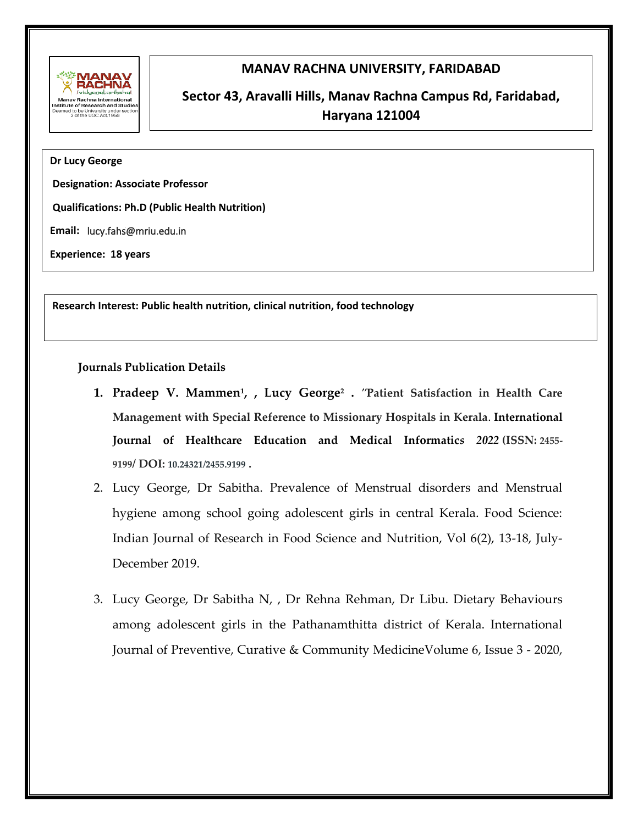

## **MANAV RACHNA UNIVERSITY, FARIDABAD**

# **Sector 43, Aravalli Hills, Manav Rachna Campus Rd, Faridabad, Haryana 121004**

#### **Dr Lucy George**

**Designation: Associate Professor**

**Qualifications: Ph.D (Public Health Nutrition)**

**Email:** lucy.fahs@mriu.edu.in

**Experience: 18 years** 

**Research Interest: Public health nutrition, clinical nutrition, food technology** 

**Journals Publication Details** 

- **1. Pradeep V. Mammen<sup>1</sup> , , Lucy George<sup>2</sup> .** *"***Patient Satisfaction in Health Care Management with Special Reference to Missionary Hospitals in Kerala**. **International Journal of Healthcare Education and Medical Informatic***s 2022* **(ISSN: 2455- 9199/ DOI: 10.24321/2455.9199 .**
- 2. Lucy George, Dr Sabitha. Prevalence of Menstrual disorders and Menstrual hygiene among school going adolescent girls in central Kerala. Food Science: Indian Journal of Research in Food Science and Nutrition, Vol 6(2), 13-18, July-December 2019.
- 3. Lucy George, Dr Sabitha N, , Dr Rehna Rehman, Dr Libu. Dietary Behaviours among adolescent girls in the Pathanamthitta district of Kerala. International Journal of Preventive, Curative & Community MedicineVolume 6, Issue 3 - 2020,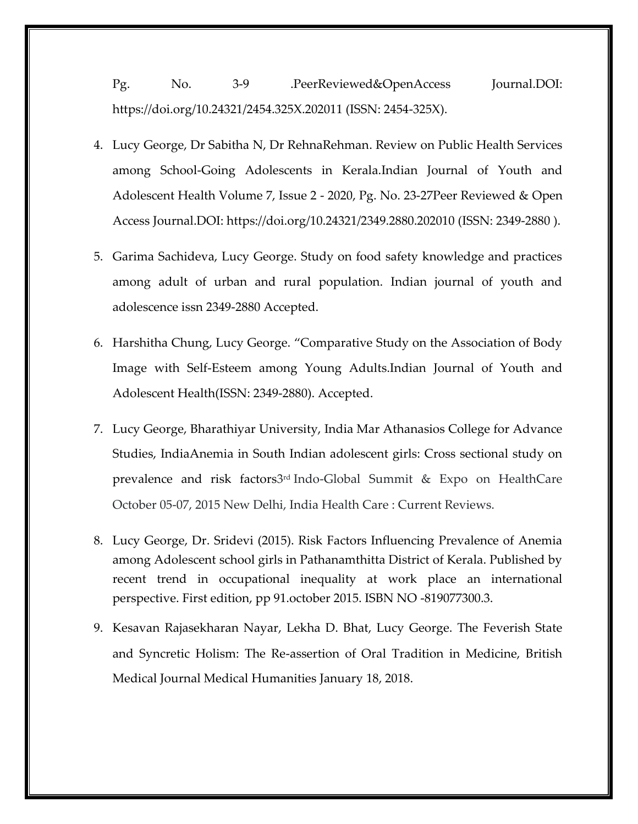Pg. No. 3-9 .PeerReviewed&OpenAccess Journal.DOI: https://doi.org/10.24321/2454.325X.202011 (ISSN: 2454-325X).

- 4. Lucy George, Dr Sabitha N, Dr RehnaRehman. Review on Public Health Services among School-Going Adolescents in Kerala.Indian Journal of Youth and Adolescent Health Volume 7, Issue 2 - 2020, Pg. No. 23-27Peer Reviewed & Open Access Journal.DOI: https://doi.org/10.24321/2349.2880.202010 (ISSN: 2349-2880 ).
- 5. Garima Sachideva, Lucy George. Study on food safety knowledge and practices among adult of urban and rural population. Indian journal of youth and adolescence issn 2349-2880 Accepted.
- 6. Harshitha Chung, Lucy George. "Comparative Study on the Association of Body Image with Self-Esteem among Young Adults.Indian Journal of Youth and Adolescent Health(ISSN: 2349-2880). Accepted.
- 7. Lucy George, Bharathiyar University, India Mar Athanasios College for Advance Studies, IndiaAnemia in South Indian adolescent girls: Cross sectional study on prevalence and risk factors3<sup>rd</sup>Indo-Global Summit & Expo on HealthCare October 05-07, 2015 New Delhi, India Health Care : Current Reviews.
- 8. Lucy George, Dr. Sridevi (2015). Risk Factors Influencing Prevalence of Anemia among Adolescent school girls in Pathanamthitta District of Kerala. Published by recent trend in occupational inequality at work place an international perspective. First edition, pp 91.october 2015. ISBN NO -819077300.3.
- 9. Kesavan Rajasekharan Nayar, Lekha D. Bhat, Lucy George. The Feverish State and Syncretic Holism: The Re-assertion of Oral Tradition in Medicine, British Medical Journal Medical Humanities January 18, 2018.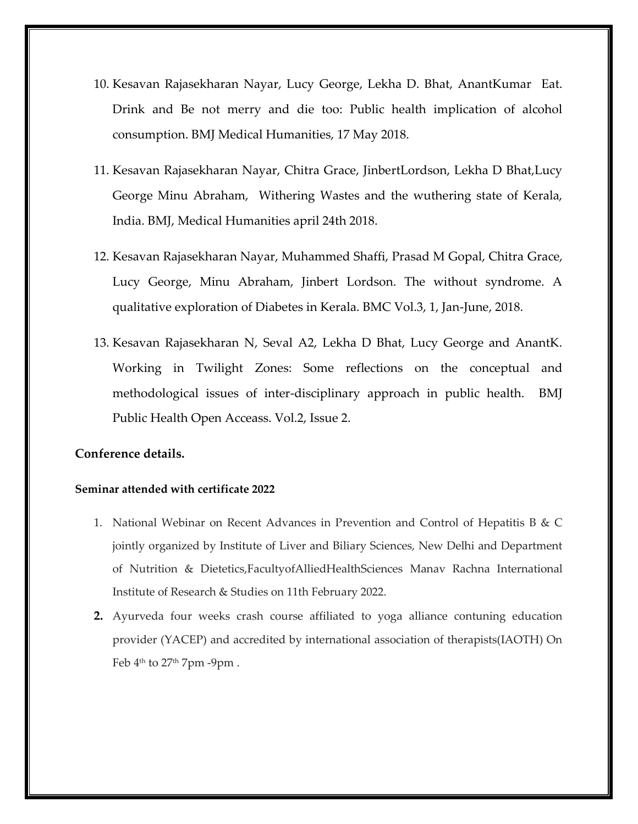- 10. Kesavan Rajasekharan Nayar, Lucy George, Lekha D. Bhat, AnantKumar Eat. Drink and Be not merry and die too: Public health implication of alcohol consumption. BMJ Medical Humanities, 17 May 2018.
- 11. Kesavan Rajasekharan Nayar, Chitra Grace, JinbertLordson, Lekha D Bhat,Lucy George Minu Abraham, Withering Wastes and the wuthering state of Kerala, India. BMJ, Medical Humanities april 24th 2018.
- 12. Kesavan Rajasekharan Nayar, Muhammed Shaffi, Prasad M Gopal, Chitra Grace, Lucy George, Minu Abraham, Jinbert Lordson. The without syndrome. A qualitative exploration of Diabetes in Kerala. BMC Vol.3, 1, Jan-June, 2018.
- 13. Kesavan Rajasekharan N, Seval A2, Lekha D Bhat, Lucy George and AnantK. Working in Twilight Zones: Some reflections on the conceptual and methodological issues of inter-disciplinary approach in public health. BMJ Public Health Open Acceass. Vol.2, Issue 2.

## **Conference details.**

#### **Seminar attended with certificate 2022**

- 1. National Webinar on Recent Advances in Prevention and Control of Hepatitis B & C jointly organized by Institute of Liver and Biliary Sciences, New Delhi and Department of Nutrition & Dietetics,FacultyofAlliedHealthSciences Manav Rachna International Institute of Research & Studies on 11th February 2022.
- **2.** Ayurveda four weeks crash course affiliated to yoga alliance contuning education provider (YACEP) and accredited by international association of therapists(IAOTH) On Feb 4th to 27th 7pm -9pm .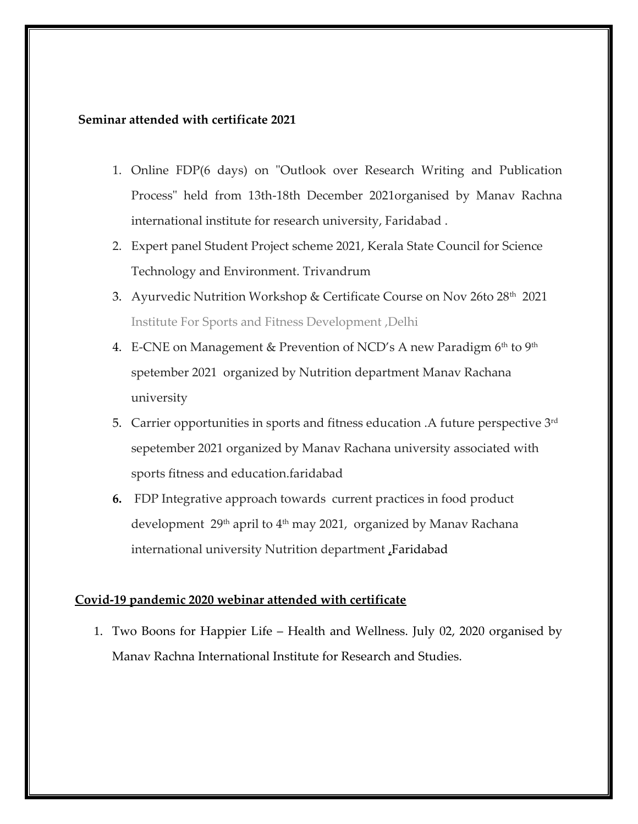## **Seminar attended with certificate 2021**

- 1. Online FDP(6 days) on "Outlook over Research Writing and Publication Process" held from 13th-18th December 2021organised by Manav Rachna international institute for research university, Faridabad .
- 2. Expert panel Student Project scheme 2021, Kerala State Council for Science Technology and Environment. Trivandrum
- 3. Ayurvedic Nutrition Workshop & Certificate Course on Nov 26to 28th 2021 Institute For Sports and Fitness Development ,Delhi
- 4. E-CNE on Management & Prevention of NCD's A new Paradigm 6<sup>th</sup> to 9<sup>th</sup> spetember 2021 organized by Nutrition department Manav Rachana university
- 5. Carrier opportunities in sports and fitness education .A future perspective 3rd sepetember 2021 organized by Manav Rachana university associated with sports fitness and education.faridabad
- **6.** FDP Integrative approach towards current practices in food product development 29<sup>th</sup> april to 4<sup>th</sup> may 2021, organized by Manav Rachana international university Nutrition department ,Faridabad

#### **Covid-19 pandemic 2020 webinar attended with certificate**

1. Two Boons for Happier Life – Health and Wellness. July 02, 2020 organised by Manav Rachna International Institute for Research and Studies.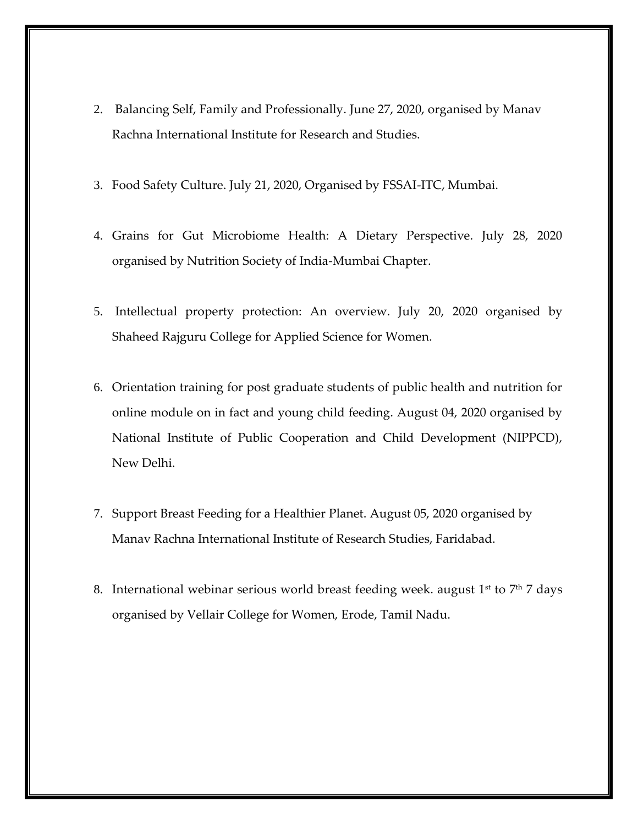- 2. Balancing Self, Family and Professionally. June 27, 2020, organised by Manav Rachna International Institute for Research and Studies.
- 3. Food Safety Culture. July 21, 2020, Organised by FSSAI-ITC, Mumbai.
- 4. Grains for Gut Microbiome Health: A Dietary Perspective. July 28, 2020 organised by Nutrition Society of India-Mumbai Chapter.
- 5. Intellectual property protection: An overview. July 20, 2020 organised by Shaheed Rajguru College for Applied Science for Women.
- 6. Orientation training for post graduate students of public health and nutrition for online module on in fact and young child feeding. August 04, 2020 organised by National Institute of Public Cooperation and Child Development (NIPPCD), New Delhi.
- 7. Support Breast Feeding for a Healthier Planet. August 05, 2020 organised by Manav Rachna International Institute of Research Studies, Faridabad.
- 8. International webinar serious world breast feeding week. august  $1<sup>st</sup>$  to  $7<sup>th</sup>$  7 days organised by Vellair College for Women, Erode, Tamil Nadu.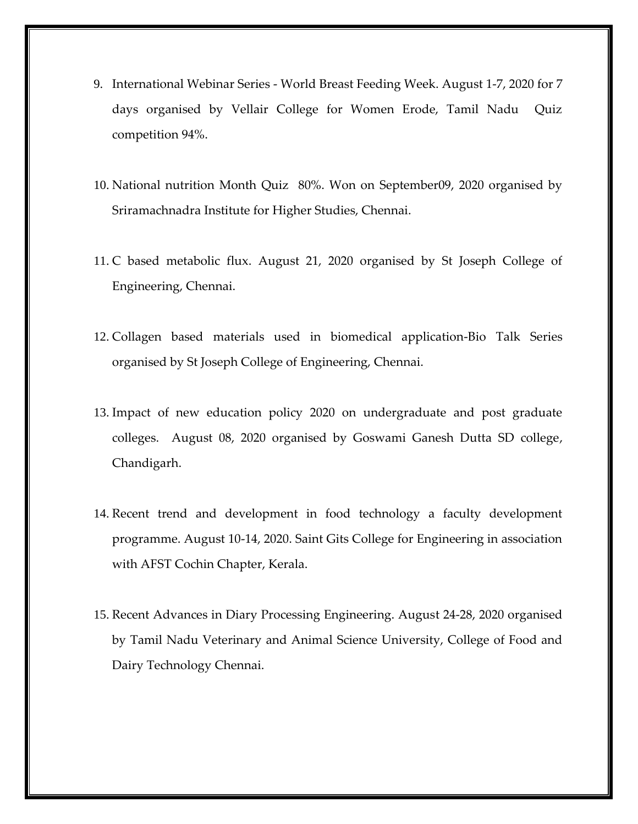- 9. International Webinar Series World Breast Feeding Week. August 1-7, 2020 for 7 days organised by Vellair College for Women Erode, Tamil Nadu Quiz competition 94%.
- 10. National nutrition Month Quiz 80%. Won on September09, 2020 organised by Sriramachnadra Institute for Higher Studies, Chennai.
- 11. C based metabolic flux. August 21, 2020 organised by St Joseph College of Engineering, Chennai.
- 12. Collagen based materials used in biomedical application-Bio Talk Series organised by St Joseph College of Engineering, Chennai.
- 13. Impact of new education policy 2020 on undergraduate and post graduate colleges. August 08, 2020 organised by Goswami Ganesh Dutta SD college, Chandigarh.
- 14. Recent trend and development in food technology a faculty development programme. August 10-14, 2020. Saint Gits College for Engineering in association with AFST Cochin Chapter, Kerala.
- 15. Recent Advances in Diary Processing Engineering. August 24-28, 2020 organised by Tamil Nadu Veterinary and Animal Science University, College of Food and Dairy Technology Chennai.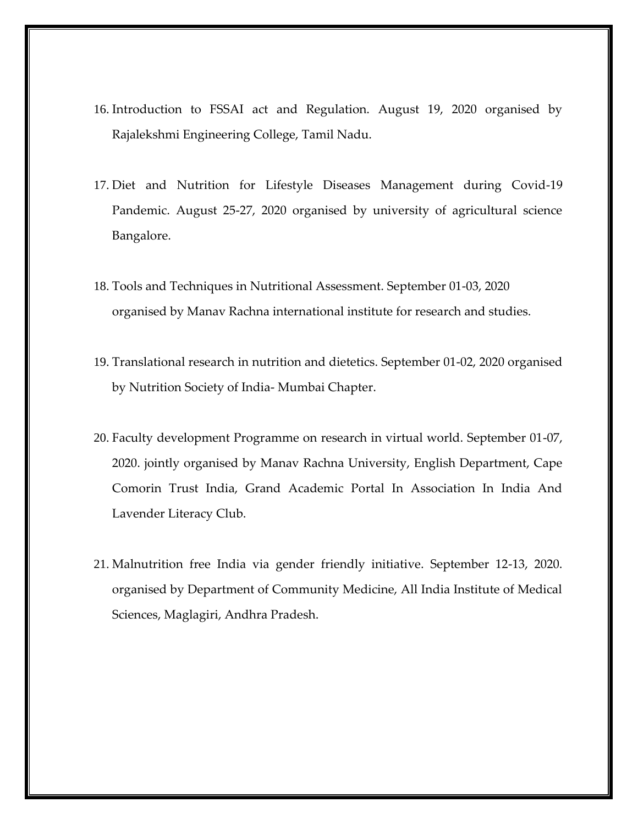- 16. Introduction to FSSAI act and Regulation. August 19, 2020 organised by Rajalekshmi Engineering College, Tamil Nadu.
- 17. Diet and Nutrition for Lifestyle Diseases Management during Covid-19 Pandemic. August 25-27, 2020 organised by university of agricultural science Bangalore.
- 18. Tools and Techniques in Nutritional Assessment. September 01-03, 2020 organised by Manav Rachna international institute for research and studies.
- 19. Translational research in nutrition and dietetics. September 01-02, 2020 organised by Nutrition Society of India- Mumbai Chapter.
- 20. Faculty development Programme on research in virtual world. September 01-07, 2020. jointly organised by Manav Rachna University, English Department, Cape Comorin Trust India, Grand Academic Portal In Association In India And Lavender Literacy Club.
- 21. Malnutrition free India via gender friendly initiative. September 12-13, 2020. organised by Department of Community Medicine, All India Institute of Medical Sciences, Maglagiri, Andhra Pradesh.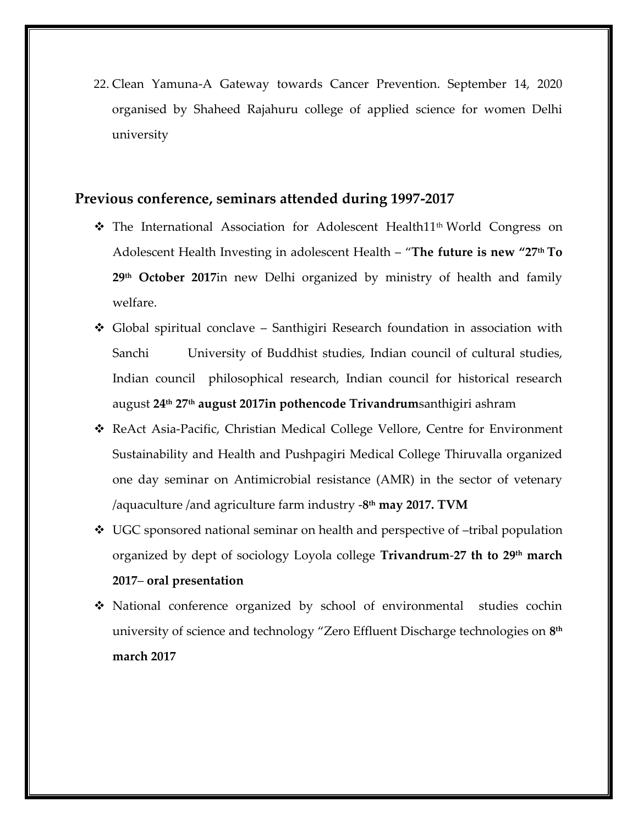22. Clean Yamuna-A Gateway towards Cancer Prevention. September 14, 2020 organised by Shaheed Rajahuru college of applied science for women Delhi university

## **Previous conference, seminars attended during 1997-2017**

- ❖ The International Association for Adolescent Health11th World Congress on Adolescent Health Investing in adolescent Health – "**The future is new "27th To 29th October 2017**in new Delhi organized by ministry of health and family welfare.
- ❖ Global spiritual conclave Santhigiri Research foundation in association with Sanchi University of Buddhist studies, Indian council of cultural studies, Indian council philosophical research, Indian council for historical research august **24th 27th august 2017in pothencode Trivandrum**santhigiri ashram
- ❖ ReAct Asia-Pacific, Christian Medical College Vellore, Centre for Environment Sustainability and Health and Pushpagiri Medical College Thiruvalla organized one day seminar on Antimicrobial resistance (AMR) in the sector of vetenary /aquaculture /and agriculture farm industry -**8 th may 2017. TVM**
- $\div$  UGC sponsored national seminar on health and perspective of -tribal population organized by dept of sociology Loyola college **Trivandrum**-**27 th to 29th march 2017**– **oral presentation**
- ❖ National conference organized by school of environmental studies cochin university of science and technology "Zero Effluent Discharge technologies on **8 th march 2017**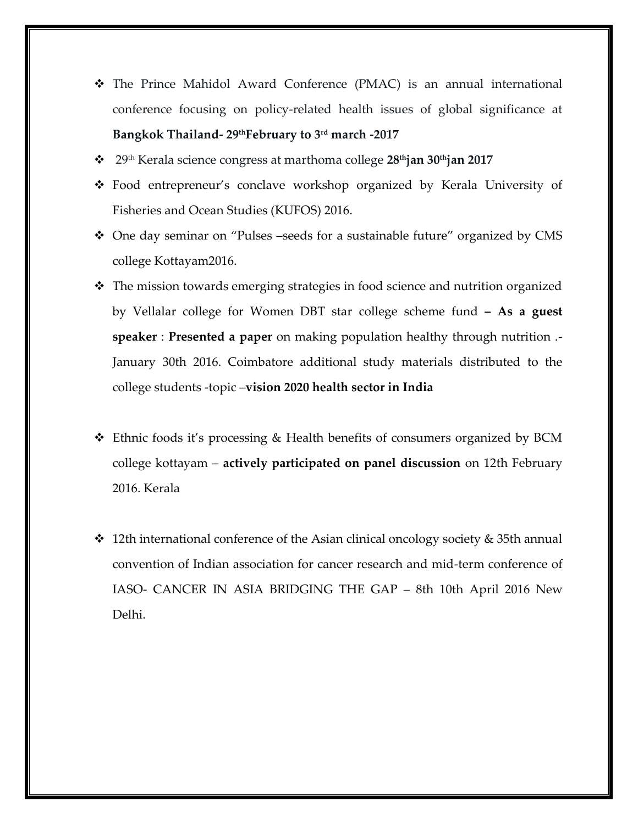- ❖ The Prince Mahidol Award Conference (PMAC) is an annual international conference focusing on policy-related health issues of global significance at **Bangkok Thailand- 29thFebruary to 3rd march -2017**
- ❖ 29th Kerala science congress at marthoma college **28thjan 30thjan 2017**
- ❖ Food entrepreneur's conclave workshop organized by Kerala University of Fisheries and Ocean Studies (KUFOS) 2016.
- ❖ One day seminar on "Pulses –seeds for a sustainable future" organized by CMS college Kottayam2016.
- ❖ The mission towards emerging strategies in food science and nutrition organized by Vellalar college for Women DBT star college scheme fund **– As a guest speaker** : **Presented a paper** on making population healthy through nutrition .- January 30th 2016. Coimbatore additional study materials distributed to the college students -topic –**vision 2020 health sector in India**
- ❖ Ethnic foods it's processing & Health benefits of consumers organized by BCM college kottayam – **actively participated on panel discussion** on 12th February 2016. Kerala
- $\cdot$  12th international conference of the Asian clinical oncology society & 35th annual convention of Indian association for cancer research and mid-term conference of IASO- CANCER IN ASIA BRIDGING THE GAP – 8th 10th April 2016 New Delhi.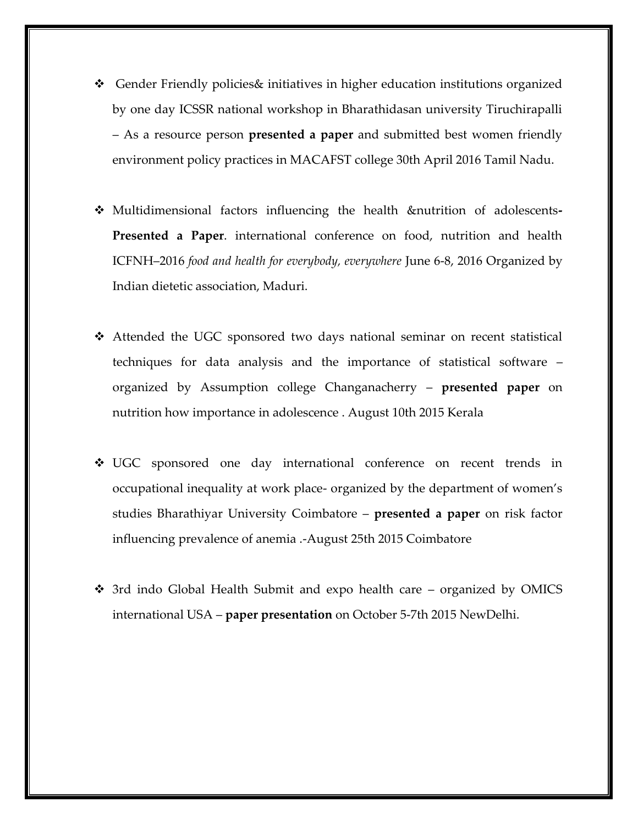- $\div$  Gender Friendly policies timitiatives in higher education institutions organized by one day ICSSR national workshop in Bharathidasan university Tiruchirapalli – As a resource person **presented a paper** and submitted best women friendly environment policy practices in MACAFST college 30th April 2016 Tamil Nadu.
- ❖ Multidimensional factors influencing the health &nutrition of adolescents**-Presented a Paper**. international conference on food, nutrition and health ICFNH–2016 *food and health for everybody, everywhere* June 6-8, 2016 Organized by Indian dietetic association, Maduri.
- ❖ Attended the UGC sponsored two days national seminar on recent statistical techniques for data analysis and the importance of statistical software – organized by Assumption college Changanacherry – **presented paper** on nutrition how importance in adolescence . August 10th 2015 Kerala
- ❖ UGC sponsored one day international conference on recent trends in occupational inequality at work place- organized by the department of women's studies Bharathiyar University Coimbatore – **presented a paper** on risk factor influencing prevalence of anemia .-August 25th 2015 Coimbatore
- ❖ 3rd indo Global Health Submit and expo health care organized by OMICS international USA – **paper presentation** on October 5-7th 2015 NewDelhi.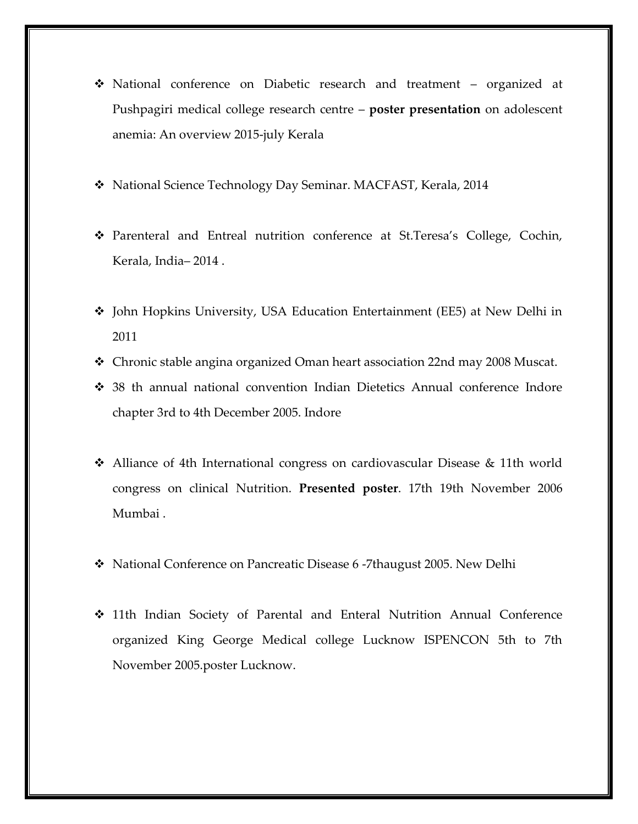- ❖ National conference on Diabetic research and treatment organized at Pushpagiri medical college research centre – **poster presentation** on adolescent anemia: An overview 2015-july Kerala
- ❖ National Science Technology Day Seminar. MACFAST, Kerala, 2014
- ❖ Parenteral and Entreal nutrition conference at St.Teresa's College, Cochin, Kerala, India– 2014 .
- ❖ John Hopkins University, USA Education Entertainment (EE5) at New Delhi in 2011
- ❖ Chronic stable angina organized Oman heart association 22nd may 2008 Muscat.
- ❖ 38 th annual national convention Indian Dietetics Annual conference Indore chapter 3rd to 4th December 2005. Indore
- ❖ Alliance of 4th International congress on cardiovascular Disease & 11th world congress on clinical Nutrition. **Presented poster**. 17th 19th November 2006 Mumbai .
- ❖ National Conference on Pancreatic Disease 6 -7thaugust 2005. New Delhi
- ❖ 11th Indian Society of Parental and Enteral Nutrition Annual Conference organized King George Medical college Lucknow ISPENCON 5th to 7th November 2005.poster Lucknow.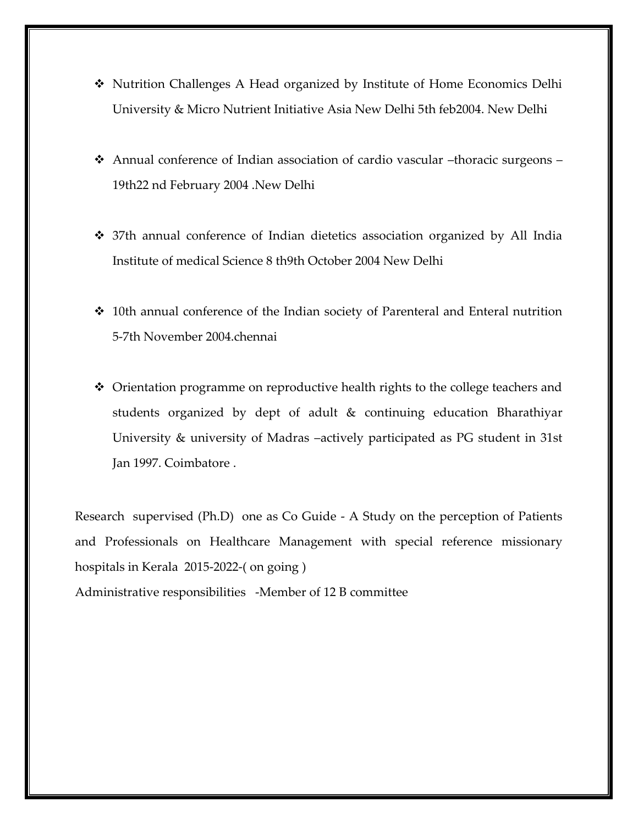- ❖ Nutrition Challenges A Head organized by Institute of Home Economics Delhi University & Micro Nutrient Initiative Asia New Delhi 5th feb2004. New Delhi
- ❖ Annual conference of Indian association of cardio vascular –thoracic surgeons 19th22 nd February 2004 .New Delhi
- ❖ 37th annual conference of Indian dietetics association organized by All India Institute of medical Science 8 th9th October 2004 New Delhi
- ❖ 10th annual conference of the Indian society of Parenteral and Enteral nutrition 5-7th November 2004.chennai
- ❖ Orientation programme on reproductive health rights to the college teachers and students organized by dept of adult & continuing education Bharathiyar University & university of Madras –actively participated as PG student in 31st Jan 1997. Coimbatore .

Research supervised (Ph.D) one as Co Guide - A Study on the perception of Patients and Professionals on Healthcare Management with special reference missionary hospitals in Kerala 2015-2022-( on going )

Administrative responsibilities -Member of 12 B committee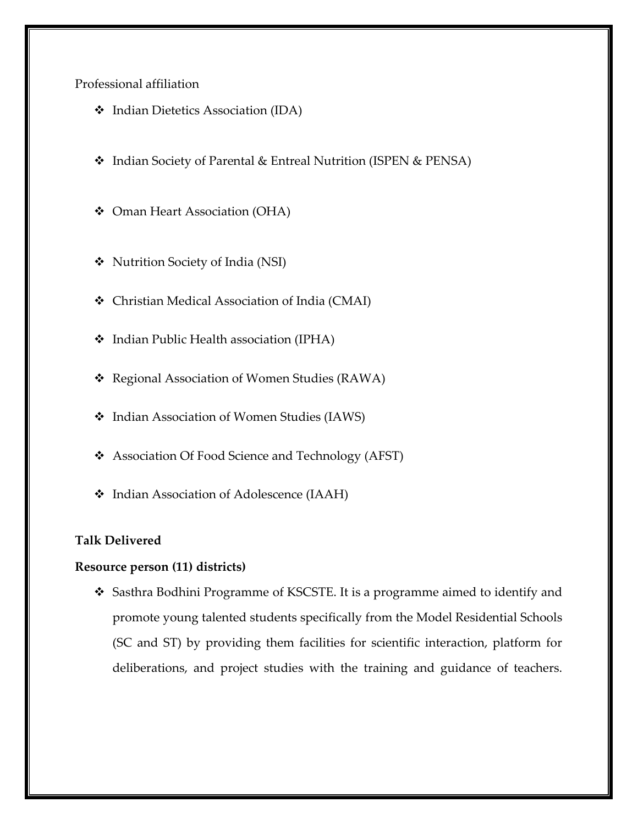Professional affiliation

- ❖ Indian Dietetics Association (IDA)
- ❖ Indian Society of Parental & Entreal Nutrition (ISPEN & PENSA)
- ❖ Oman Heart Association (OHA)
- ❖ Nutrition Society of India (NSI)
- ❖ Christian Medical Association of India (CMAI)
- ❖ Indian Public Health association (IPHA)
- ❖ Regional Association of Women Studies (RAWA)
- ❖ Indian Association of Women Studies (IAWS)
- ❖ Association Of Food Science and Technology (AFST)
- ❖ Indian Association of Adolescence (IAAH)

## **Talk Delivered**

## **Resource person (11) districts)**

❖ Sasthra Bodhini Programme of KSCSTE. It is a programme aimed to identify and promote young talented students specifically from the Model Residential Schools (SC and ST) by providing them facilities for scientific interaction, platform for deliberations, and project studies with the training and guidance of teachers.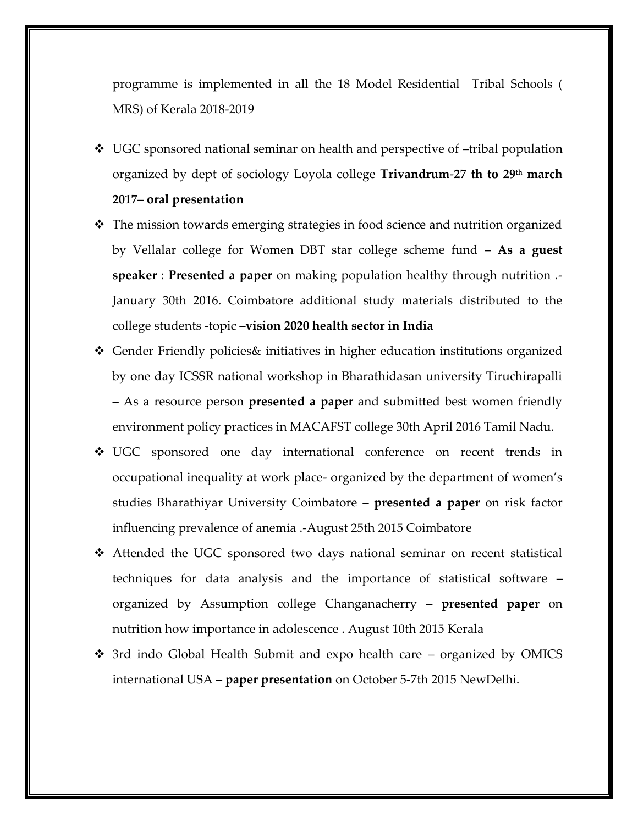programme is implemented in all the 18 Model Residential Tribal Schools ( MRS) of Kerala 2018-2019

❖ UGC sponsored national seminar on health and perspective of –tribal population organized by dept of sociology Loyola college **Trivandrum**-**27 th to 29th march** 

#### **2017**– **oral presentation**

- ❖ The mission towards emerging strategies in food science and nutrition organized by Vellalar college for Women DBT star college scheme fund **– As a guest speaker** : **Presented a paper** on making population healthy through nutrition .- January 30th 2016. Coimbatore additional study materials distributed to the college students -topic –**vision 2020 health sector in India**
- ❖ Gender Friendly policies& initiatives in higher education institutions organized by one day ICSSR national workshop in Bharathidasan university Tiruchirapalli – As a resource person **presented a paper** and submitted best women friendly environment policy practices in MACAFST college 30th April 2016 Tamil Nadu.
- ❖ UGC sponsored one day international conference on recent trends in occupational inequality at work place- organized by the department of women's studies Bharathiyar University Coimbatore – **presented a paper** on risk factor influencing prevalence of anemia .-August 25th 2015 Coimbatore
- ❖ Attended the UGC sponsored two days national seminar on recent statistical techniques for data analysis and the importance of statistical software – organized by Assumption college Changanacherry – **presented paper** on nutrition how importance in adolescence . August 10th 2015 Kerala
- ❖ 3rd indo Global Health Submit and expo health care organized by OMICS international USA – **paper presentation** on October 5-7th 2015 NewDelhi.